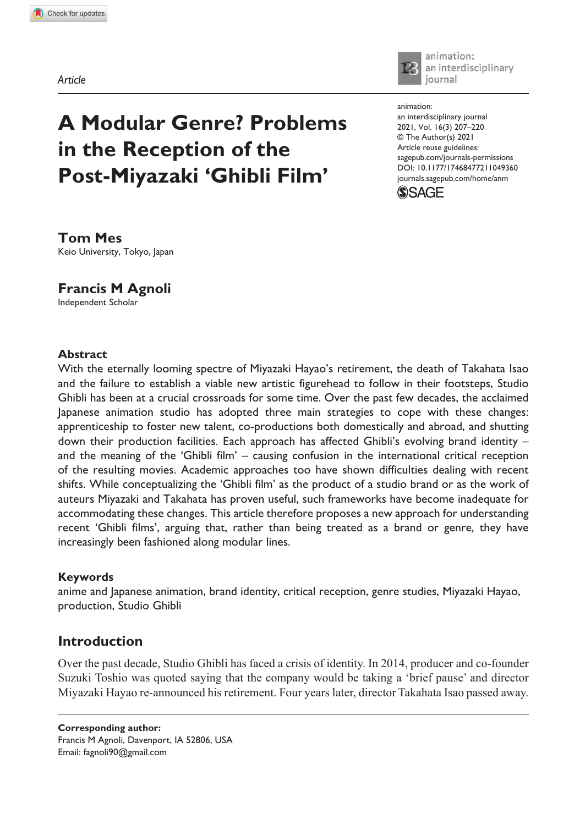**1049360** ANM0010.1177/17468477211049360Animation **Mes and Agnoli**

*Article*



animation: an interdisciplinary iournal

# **A Modular Genre? Problems in the Reception of the Post-Miyazaki 'Ghibli Film'**

https://doi.org/10.1177/17468477211049360 DOI: 10.1177/17468477211049360 animation: an interdisciplinary journal 2021, Vol. 16(3) 207-220 © The Author(s) 2021 Article reuse guidelines: sagepub.com/journals-permissions journals.sagepub.com/home/anm



**Tom Mes** Keio University, Tokyo, Japan

## **Francis M Agnoli**

Independent Scholar

### **Abstract**

With the eternally looming spectre of Miyazaki Hayao's retirement, the death of Takahata Isao and the failure to establish a viable new artistic figurehead to follow in their footsteps, Studio Ghibli has been at a crucial crossroads for some time. Over the past few decades, the acclaimed Japanese animation studio has adopted three main strategies to cope with these changes: apprenticeship to foster new talent, co-productions both domestically and abroad, and shutting down their production facilities. Each approach has affected Ghibli's evolving brand identity – and the meaning of the 'Ghibli film' – causing confusion in the international critical reception of the resulting movies. Academic approaches too have shown difficulties dealing with recent shifts. While conceptualizing the 'Ghibli film' as the product of a studio brand or as the work of auteurs Miyazaki and Takahata has proven useful, such frameworks have become inadequate for accommodating these changes. This article therefore proposes a new approach for understanding recent 'Ghibli films', arguing that, rather than being treated as a brand or genre, they have increasingly been fashioned along modular lines.

## **Keywords**

anime and Japanese animation, brand identity, critical reception, genre studies, Miyazaki Hayao, production, Studio Ghibli

## **Introduction**

Over the past decade, Studio Ghibli has faced a crisis of identity. In 2014, producer and co-founder Suzuki Toshio was quoted saying that the company would be taking a 'brief pause' and director Miyazaki Hayao re-announced his retirement. Four years later, director Takahata Isao passed away.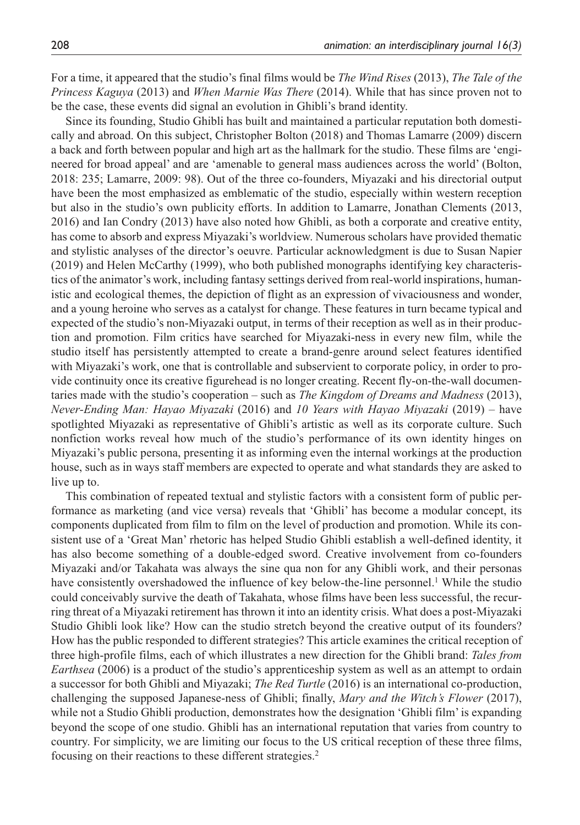For a time, it appeared that the studio's final films would be *The Wind Rises* (2013), *The Tale of the Princess Kaguya* (2013) and *When Marnie Was There* (2014). While that has since proven not to be the case, these events did signal an evolution in Ghibli's brand identity.

Since its founding, Studio Ghibli has built and maintained a particular reputation both domestically and abroad. On this subject, Christopher Bolton (2018) and Thomas Lamarre (2009) discern a back and forth between popular and high art as the hallmark for the studio. These films are 'engineered for broad appeal' and are 'amenable to general mass audiences across the world' (Bolton, 2018: 235; Lamarre, 2009: 98). Out of the three co-founders, Miyazaki and his directorial output have been the most emphasized as emblematic of the studio, especially within western reception but also in the studio's own publicity efforts. In addition to Lamarre, Jonathan Clements (2013, 2016) and Ian Condry (2013) have also noted how Ghibli, as both a corporate and creative entity, has come to absorb and express Miyazaki's worldview. Numerous scholars have provided thematic and stylistic analyses of the director's oeuvre. Particular acknowledgment is due to Susan Napier (2019) and Helen McCarthy (1999), who both published monographs identifying key characteristics of the animator's work, including fantasy settings derived from real-world inspirations, humanistic and ecological themes, the depiction of flight as an expression of vivaciousness and wonder, and a young heroine who serves as a catalyst for change. These features in turn became typical and expected of the studio's non-Miyazaki output, in terms of their reception as well as in their production and promotion. Film critics have searched for Miyazaki-ness in every new film, while the studio itself has persistently attempted to create a brand-genre around select features identified with Miyazaki's work, one that is controllable and subservient to corporate policy, in order to provide continuity once its creative figurehead is no longer creating. Recent fly-on-the-wall documentaries made with the studio's cooperation – such as *The Kingdom of Dreams and Madness* (2013), *Never-Ending Man: Hayao Miyazaki* (2016) and *10 Years with Hayao Miyazaki* (2019) – have spotlighted Miyazaki as representative of Ghibli's artistic as well as its corporate culture. Such nonfiction works reveal how much of the studio's performance of its own identity hinges on Miyazaki's public persona, presenting it as informing even the internal workings at the production house, such as in ways staff members are expected to operate and what standards they are asked to live up to.

This combination of repeated textual and stylistic factors with a consistent form of public performance as marketing (and vice versa) reveals that 'Ghibli' has become a modular concept, its components duplicated from film to film on the level of production and promotion. While its consistent use of a 'Great Man' rhetoric has helped Studio Ghibli establish a well-defined identity, it has also become something of a double-edged sword. Creative involvement from co-founders Miyazaki and/or Takahata was always the sine qua non for any Ghibli work, and their personas have consistently overshadowed the influence of key below-the-line personnel.<sup>1</sup> While the studio could conceivably survive the death of Takahata, whose films have been less successful, the recurring threat of a Miyazaki retirement has thrown it into an identity crisis. What does a post-Miyazaki Studio Ghibli look like? How can the studio stretch beyond the creative output of its founders? How has the public responded to different strategies? This article examines the critical reception of three high-profile films, each of which illustrates a new direction for the Ghibli brand: *Tales from Earthsea* (2006) is a product of the studio's apprenticeship system as well as an attempt to ordain a successor for both Ghibli and Miyazaki; *The Red Turtle* (2016) is an international co-production, challenging the supposed Japanese-ness of Ghibli; finally, *Mary and the Witch's Flower* (2017), while not a Studio Ghibli production, demonstrates how the designation 'Ghibli film' is expanding beyond the scope of one studio. Ghibli has an international reputation that varies from country to country. For simplicity, we are limiting our focus to the US critical reception of these three films, focusing on their reactions to these different strategies.<sup>2</sup>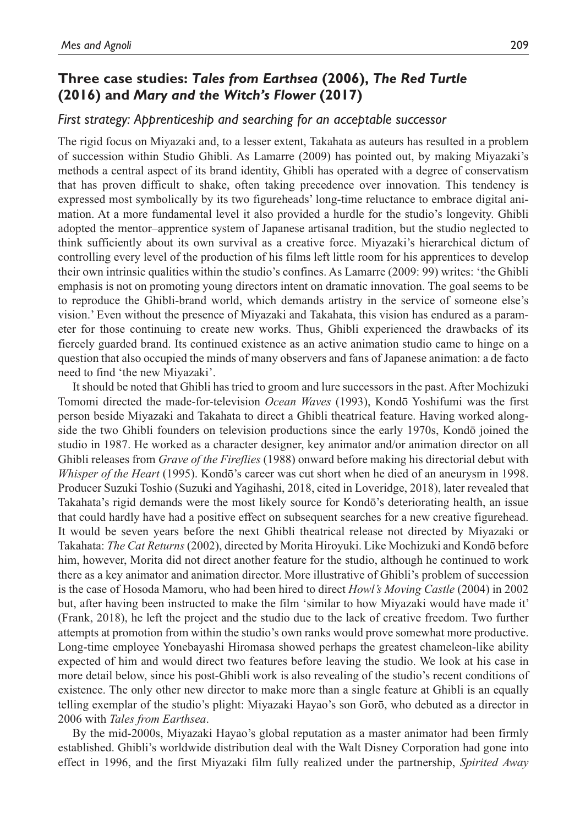## **Three case studies:** *Tales from Earthsea* **(2006),** *The Red Turtle* **(2016) and** *Mary and the Witch's Flower* **(2017)**

#### *First strategy: Apprenticeship and searching for an acceptable successor*

The rigid focus on Miyazaki and, to a lesser extent, Takahata as auteurs has resulted in a problem of succession within Studio Ghibli. As Lamarre (2009) has pointed out, by making Miyazaki's methods a central aspect of its brand identity, Ghibli has operated with a degree of conservatism that has proven difficult to shake, often taking precedence over innovation. This tendency is expressed most symbolically by its two figureheads' long-time reluctance to embrace digital animation. At a more fundamental level it also provided a hurdle for the studio's longevity. Ghibli adopted the mentor–apprentice system of Japanese artisanal tradition, but the studio neglected to think sufficiently about its own survival as a creative force. Miyazaki's hierarchical dictum of controlling every level of the production of his films left little room for his apprentices to develop their own intrinsic qualities within the studio's confines. As Lamarre (2009: 99) writes: 'the Ghibli emphasis is not on promoting young directors intent on dramatic innovation. The goal seems to be to reproduce the Ghibli-brand world, which demands artistry in the service of someone else's vision.' Even without the presence of Miyazaki and Takahata, this vision has endured as a parameter for those continuing to create new works. Thus, Ghibli experienced the drawbacks of its fiercely guarded brand. Its continued existence as an active animation studio came to hinge on a question that also occupied the minds of many observers and fans of Japanese animation: a de facto need to find 'the new Miyazaki'.

It should be noted that Ghibli has tried to groom and lure successors in the past. After Mochizuki Tomomi directed the made-for-television *Ocean Waves* (1993), Kondō Yoshifumi was the first person beside Miyazaki and Takahata to direct a Ghibli theatrical feature. Having worked alongside the two Ghibli founders on television productions since the early 1970s, Kondō joined the studio in 1987. He worked as a character designer, key animator and/or animation director on all Ghibli releases from *Grave of the Fireflies* (1988) onward before making his directorial debut with *Whisper of the Heart* (1995). Kondō's career was cut short when he died of an aneurysm in 1998. Producer Suzuki Toshio (Suzuki and Yagihashi, 2018, cited in Loveridge, 2018), later revealed that Takahata's rigid demands were the most likely source for Kondō's deteriorating health, an issue that could hardly have had a positive effect on subsequent searches for a new creative figurehead. It would be seven years before the next Ghibli theatrical release not directed by Miyazaki or Takahata: *The Cat Returns* (2002), directed by Morita Hiroyuki. Like Mochizuki and Kondō before him, however, Morita did not direct another feature for the studio, although he continued to work there as a key animator and animation director. More illustrative of Ghibli's problem of succession is the case of Hosoda Mamoru, who had been hired to direct *Howl's Moving Castle* (2004) in 2002 but, after having been instructed to make the film 'similar to how Miyazaki would have made it' (Frank, 2018), he left the project and the studio due to the lack of creative freedom. Two further attempts at promotion from within the studio's own ranks would prove somewhat more productive. Long-time employee Yonebayashi Hiromasa showed perhaps the greatest chameleon-like ability expected of him and would direct two features before leaving the studio. We look at his case in more detail below, since his post-Ghibli work is also revealing of the studio's recent conditions of existence. The only other new director to make more than a single feature at Ghibli is an equally telling exemplar of the studio's plight: Miyazaki Hayao's son Gorō, who debuted as a director in 2006 with *Tales from Earthsea*.

By the mid-2000s, Miyazaki Hayao's global reputation as a master animator had been firmly established. Ghibli's worldwide distribution deal with the Walt Disney Corporation had gone into effect in 1996, and the first Miyazaki film fully realized under the partnership, *Spirited Away*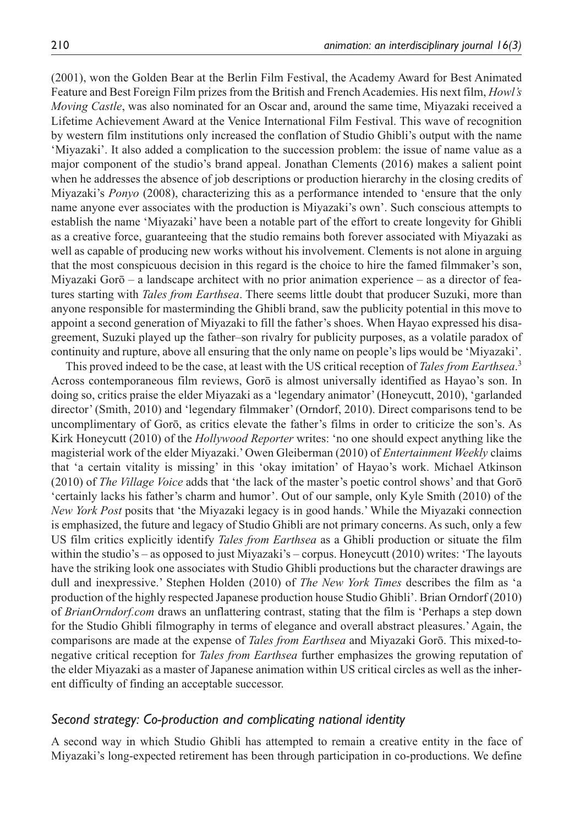(2001), won the Golden Bear at the Berlin Film Festival, the Academy Award for Best Animated Feature and Best Foreign Film prizes from the British and French Academies. His next film, *Howl's Moving Castle*, was also nominated for an Oscar and, around the same time, Miyazaki received a Lifetime Achievement Award at the Venice International Film Festival. This wave of recognition by western film institutions only increased the conflation of Studio Ghibli's output with the name 'Miyazaki'. It also added a complication to the succession problem: the issue of name value as a major component of the studio's brand appeal. Jonathan Clements (2016) makes a salient point when he addresses the absence of job descriptions or production hierarchy in the closing credits of Miyazaki's *Ponyo* (2008), characterizing this as a performance intended to 'ensure that the only name anyone ever associates with the production is Miyazaki's own'. Such conscious attempts to establish the name 'Miyazaki' have been a notable part of the effort to create longevity for Ghibli as a creative force, guaranteeing that the studio remains both forever associated with Miyazaki as well as capable of producing new works without his involvement. Clements is not alone in arguing that the most conspicuous decision in this regard is the choice to hire the famed filmmaker's son, Miyazaki Gorō – a landscape architect with no prior animation experience – as a director of features starting with *Tales from Earthsea*. There seems little doubt that producer Suzuki, more than anyone responsible for masterminding the Ghibli brand, saw the publicity potential in this move to appoint a second generation of Miyazaki to fill the father's shoes. When Hayao expressed his disagreement, Suzuki played up the father–son rivalry for publicity purposes, as a volatile paradox of continuity and rupture, above all ensuring that the only name on people's lips would be 'Miyazaki'.

This proved indeed to be the case, at least with the US critical reception of *Tales from Earthsea*. 3 Across contemporaneous film reviews, Gorō is almost universally identified as Hayao's son. In doing so, critics praise the elder Miyazaki as a 'legendary animator' (Honeycutt, 2010), 'garlanded director' (Smith, 2010) and 'legendary filmmaker' (Orndorf, 2010). Direct comparisons tend to be uncomplimentary of Gorō, as critics elevate the father's films in order to criticize the son's. As Kirk Honeycutt (2010) of the *Hollywood Reporter* writes: 'no one should expect anything like the magisterial work of the elder Miyazaki.' Owen Gleiberman (2010) of *Entertainment Weekly* claims that 'a certain vitality is missing' in this 'okay imitation' of Hayao's work. Michael Atkinson (2010) of *The Village Voice* adds that 'the lack of the master's poetic control shows' and that Gorō 'certainly lacks his father's charm and humor'. Out of our sample, only Kyle Smith (2010) of the *New York Post* posits that 'the Miyazaki legacy is in good hands.' While the Miyazaki connection is emphasized, the future and legacy of Studio Ghibli are not primary concerns. As such, only a few US film critics explicitly identify *Tales from Earthsea* as a Ghibli production or situate the film within the studio's – as opposed to just Miyazaki's – corpus. Honeycutt (2010) writes: 'The layouts have the striking look one associates with Studio Ghibli productions but the character drawings are dull and inexpressive.' Stephen Holden (2010) of *The New York Times* describes the film as 'a production of the highly respected Japanese production house Studio Ghibli'. Brian Orndorf (2010) of *BrianOrndorf.com* draws an unflattering contrast, stating that the film is 'Perhaps a step down for the Studio Ghibli filmography in terms of elegance and overall abstract pleasures.' Again, the comparisons are made at the expense of *Tales from Earthsea* and Miyazaki Gorō. This mixed-tonegative critical reception for *Tales from Earthsea* further emphasizes the growing reputation of the elder Miyazaki as a master of Japanese animation within US critical circles as well as the inherent difficulty of finding an acceptable successor.

## *Second strategy: Co-production and complicating national identity*

A second way in which Studio Ghibli has attempted to remain a creative entity in the face of Miyazaki's long-expected retirement has been through participation in co-productions. We define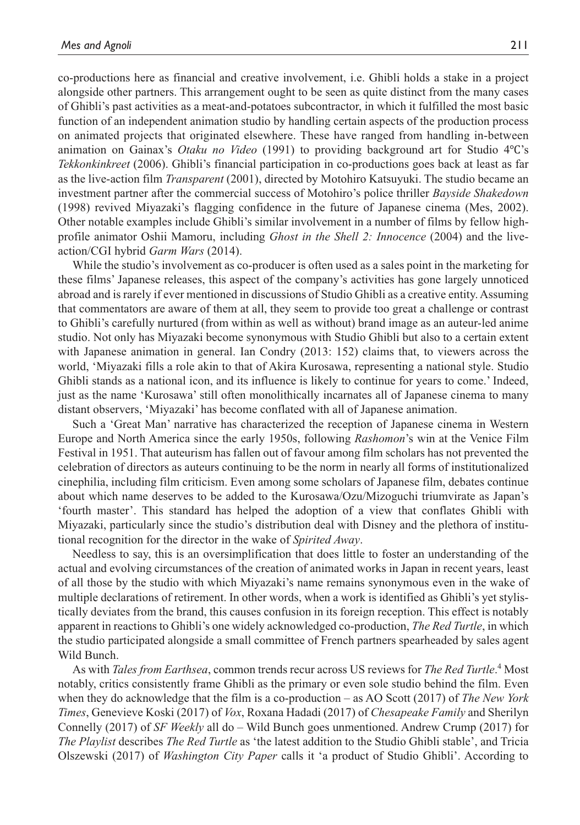co-productions here as financial and creative involvement, i.e. Ghibli holds a stake in a project alongside other partners. This arrangement ought to be seen as quite distinct from the many cases of Ghibli's past activities as a meat-and-potatoes subcontractor, in which it fulfilled the most basic function of an independent animation studio by handling certain aspects of the production process on animated projects that originated elsewhere. These have ranged from handling in-between animation on Gainax's *Otaku no Video* (1991) to providing background art for Studio 4℃'s *Tekkonkinkreet* (2006). Ghibli's financial participation in co-productions goes back at least as far as the live-action film *Transparent* (2001), directed by Motohiro Katsuyuki. The studio became an investment partner after the commercial success of Motohiro's police thriller *Bayside Shakedown* (1998) revived Miyazaki's flagging confidence in the future of Japanese cinema (Mes, 2002). Other notable examples include Ghibli's similar involvement in a number of films by fellow highprofile animator Oshii Mamoru, including *Ghost in the Shell 2: Innocence* (2004) and the liveaction/CGI hybrid *Garm Wars* (2014).

While the studio's involvement as co-producer is often used as a sales point in the marketing for these films' Japanese releases, this aspect of the company's activities has gone largely unnoticed abroad and is rarely if ever mentioned in discussions of Studio Ghibli as a creative entity. Assuming that commentators are aware of them at all, they seem to provide too great a challenge or contrast to Ghibli's carefully nurtured (from within as well as without) brand image as an auteur-led anime studio. Not only has Miyazaki become synonymous with Studio Ghibli but also to a certain extent with Japanese animation in general. Ian Condry (2013: 152) claims that, to viewers across the world, 'Miyazaki fills a role akin to that of Akira Kurosawa, representing a national style. Studio Ghibli stands as a national icon, and its influence is likely to continue for years to come.' Indeed, just as the name 'Kurosawa' still often monolithically incarnates all of Japanese cinema to many distant observers, 'Miyazaki' has become conflated with all of Japanese animation.

Such a 'Great Man' narrative has characterized the reception of Japanese cinema in Western Europe and North America since the early 1950s, following *Rashomon*'s win at the Venice Film Festival in 1951. That auteurism has fallen out of favour among film scholars has not prevented the celebration of directors as auteurs continuing to be the norm in nearly all forms of institutionalized cinephilia, including film criticism. Even among some scholars of Japanese film, debates continue about which name deserves to be added to the Kurosawa/Ozu/Mizoguchi triumvirate as Japan's 'fourth master'. This standard has helped the adoption of a view that conflates Ghibli with Miyazaki, particularly since the studio's distribution deal with Disney and the plethora of institutional recognition for the director in the wake of *Spirited Away*.

Needless to say, this is an oversimplification that does little to foster an understanding of the actual and evolving circumstances of the creation of animated works in Japan in recent years, least of all those by the studio with which Miyazaki's name remains synonymous even in the wake of multiple declarations of retirement. In other words, when a work is identified as Ghibli's yet stylistically deviates from the brand, this causes confusion in its foreign reception. This effect is notably apparent in reactions to Ghibli's one widely acknowledged co-production, *The Red Turtle*, in which the studio participated alongside a small committee of French partners spearheaded by sales agent Wild Bunch.

As with *Tales from Earthsea*, common trends recur across US reviews for *The Red Turtle*. 4 Most notably, critics consistently frame Ghibli as the primary or even sole studio behind the film. Even when they do acknowledge that the film is a co-production – as AO Scott (2017) of *The New York Times*, Genevieve Koski (2017) of *Vox*, Roxana Hadadi (2017) of *Chesapeake Family* and Sherilyn Connelly (2017) of *SF Weekly* all do – Wild Bunch goes unmentioned. Andrew Crump (2017) for *The Playlist* describes *The Red Turtle* as 'the latest addition to the Studio Ghibli stable', and Tricia Olszewski (2017) of *Washington City Paper* calls it 'a product of Studio Ghibli'. According to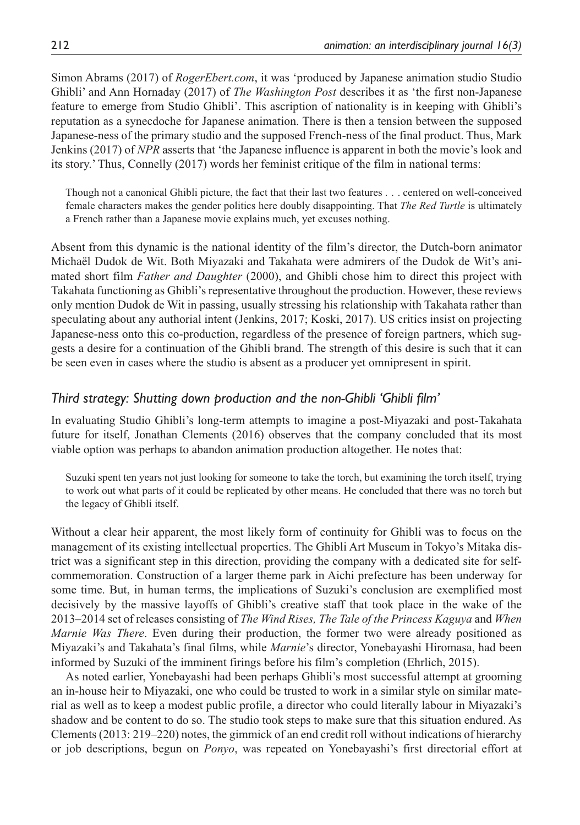Simon Abrams (2017) of *RogerEbert.com*, it was 'produced by Japanese animation studio Studio Ghibli' and Ann Hornaday (2017) of *The Washington Post* describes it as 'the first non-Japanese feature to emerge from Studio Ghibli'. This ascription of nationality is in keeping with Ghibli's reputation as a synecdoche for Japanese animation. There is then a tension between the supposed Japanese-ness of the primary studio and the supposed French-ness of the final product. Thus, Mark Jenkins (2017) of *NPR* asserts that 'the Japanese influence is apparent in both the movie's look and its story.' Thus, Connelly (2017) words her feminist critique of the film in national terms:

Though not a canonical Ghibli picture, the fact that their last two features . . . centered on well-conceived female characters makes the gender politics here doubly disappointing. That *The Red Turtle* is ultimately a French rather than a Japanese movie explains much, yet excuses nothing.

Absent from this dynamic is the national identity of the film's director, the Dutch-born animator Michaël Dudok de Wit. Both Miyazaki and Takahata were admirers of the Dudok de Wit's animated short film *Father and Daughter* (2000), and Ghibli chose him to direct this project with Takahata functioning as Ghibli's representative throughout the production. However, these reviews only mention Dudok de Wit in passing, usually stressing his relationship with Takahata rather than speculating about any authorial intent (Jenkins, 2017; Koski, 2017). US critics insist on projecting Japanese-ness onto this co-production, regardless of the presence of foreign partners, which suggests a desire for a continuation of the Ghibli brand. The strength of this desire is such that it can be seen even in cases where the studio is absent as a producer yet omnipresent in spirit.

## *Third strategy: Shutting down production and the non-Ghibli 'Ghibli film'*

In evaluating Studio Ghibli's long-term attempts to imagine a post-Miyazaki and post-Takahata future for itself, Jonathan Clements (2016) observes that the company concluded that its most viable option was perhaps to abandon animation production altogether. He notes that:

Suzuki spent ten years not just looking for someone to take the torch, but examining the torch itself, trying to work out what parts of it could be replicated by other means. He concluded that there was no torch but the legacy of Ghibli itself.

Without a clear heir apparent, the most likely form of continuity for Ghibli was to focus on the management of its existing intellectual properties. The Ghibli Art Museum in Tokyo's Mitaka district was a significant step in this direction, providing the company with a dedicated site for selfcommemoration. Construction of a larger theme park in Aichi prefecture has been underway for some time. But, in human terms, the implications of Suzuki's conclusion are exemplified most decisively by the massive layoffs of Ghibli's creative staff that took place in the wake of the 2013–2014 set of releases consisting of *The Wind Rises, The Tale of the Princess Kaguya* and *When Marnie Was There*. Even during their production, the former two were already positioned as Miyazaki's and Takahata's final films, while *Marnie*'s director, Yonebayashi Hiromasa, had been informed by Suzuki of the imminent firings before his film's completion (Ehrlich, 2015).

As noted earlier, Yonebayashi had been perhaps Ghibli's most successful attempt at grooming an in-house heir to Miyazaki, one who could be trusted to work in a similar style on similar material as well as to keep a modest public profile, a director who could literally labour in Miyazaki's shadow and be content to do so. The studio took steps to make sure that this situation endured. As Clements (2013: 219–220) notes, the gimmick of an end credit roll without indications of hierarchy or job descriptions, begun on *Ponyo*, was repeated on Yonebayashi's first directorial effort at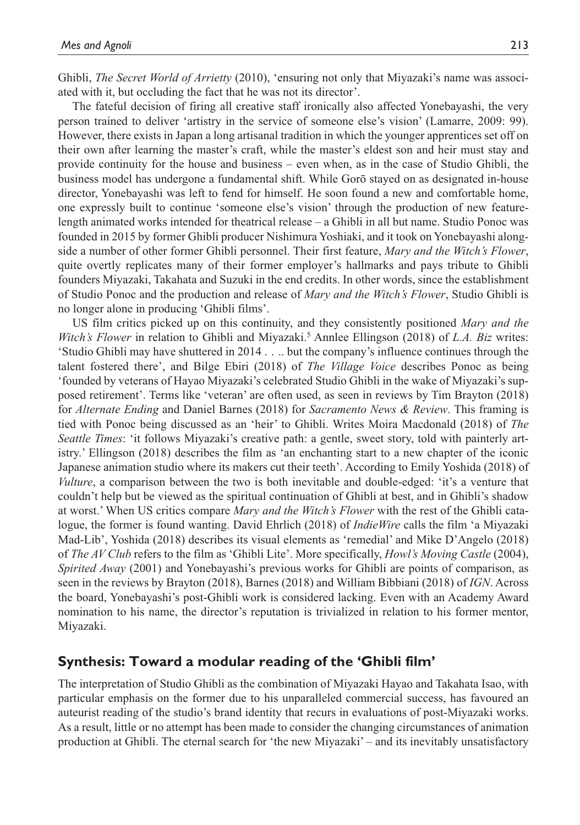Ghibli, *The Secret World of Arrietty* (2010), 'ensuring not only that Miyazaki's name was associated with it, but occluding the fact that he was not its director'.

The fateful decision of firing all creative staff ironically also affected Yonebayashi, the very person trained to deliver 'artistry in the service of someone else's vision' (Lamarre, 2009: 99). However, there exists in Japan a long artisanal tradition in which the younger apprentices set off on their own after learning the master's craft, while the master's eldest son and heir must stay and provide continuity for the house and business – even when, as in the case of Studio Ghibli, the business model has undergone a fundamental shift. While Gorō stayed on as designated in-house director, Yonebayashi was left to fend for himself. He soon found a new and comfortable home, one expressly built to continue 'someone else's vision' through the production of new featurelength animated works intended for theatrical release – a Ghibli in all but name. Studio Ponoc was founded in 2015 by former Ghibli producer Nishimura Yoshiaki, and it took on Yonebayashi alongside a number of other former Ghibli personnel. Their first feature, *Mary and the Witch's Flower*, quite overtly replicates many of their former employer's hallmarks and pays tribute to Ghibli founders Miyazaki, Takahata and Suzuki in the end credits. In other words, since the establishment of Studio Ponoc and the production and release of *Mary and the Witch's Flower*, Studio Ghibli is no longer alone in producing 'Ghibli films'.

US film critics picked up on this continuity, and they consistently positioned *Mary and the*  Witch's Flower in relation to Ghibli and Miyazaki.<sup>5</sup> Annlee Ellingson (2018) of *L.A. Biz* writes: 'Studio Ghibli may have shuttered in 2014 . . .. but the company's influence continues through the talent fostered there', and Bilge Ebiri (2018) of *The Village Voice* describes Ponoc as being 'founded by veterans of Hayao Miyazaki's celebrated Studio Ghibli in the wake of Miyazaki's supposed retirement'. Terms like 'veteran' are often used, as seen in reviews by Tim Brayton (2018) for *Alternate Ending* and Daniel Barnes (2018) for *Sacramento News & Review*. This framing is tied with Ponoc being discussed as an 'heir' to Ghibli. Writes Moira Macdonald (2018) of *The Seattle Times*: 'it follows Miyazaki's creative path: a gentle, sweet story, told with painterly artistry.' Ellingson (2018) describes the film as 'an enchanting start to a new chapter of the iconic Japanese animation studio where its makers cut their teeth'. According to Emily Yoshida (2018) of *Vulture*, a comparison between the two is both inevitable and double-edged: 'it's a venture that couldn't help but be viewed as the spiritual continuation of Ghibli at best, and in Ghibli's shadow at worst.' When US critics compare *Mary and the Witch's Flower* with the rest of the Ghibli catalogue, the former is found wanting. David Ehrlich (2018) of *IndieWire* calls the film 'a Miyazaki Mad-Lib', Yoshida (2018) describes its visual elements as 'remedial' and Mike D'Angelo (2018) of *The AV Club* refers to the film as 'Ghibli Lite'. More specifically, *Howl's Moving Castle* (2004), *Spirited Away* (2001) and Yonebayashi's previous works for Ghibli are points of comparison, as seen in the reviews by Brayton (2018), Barnes (2018) and William Bibbiani (2018) of *IGN*. Across the board, Yonebayashi's post-Ghibli work is considered lacking. Even with an Academy Award nomination to his name, the director's reputation is trivialized in relation to his former mentor, Miyazaki.

## **Synthesis: Toward a modular reading of the 'Ghibli film'**

The interpretation of Studio Ghibli as the combination of Miyazaki Hayao and Takahata Isao, with particular emphasis on the former due to his unparalleled commercial success, has favoured an auteurist reading of the studio's brand identity that recurs in evaluations of post-Miyazaki works. As a result, little or no attempt has been made to consider the changing circumstances of animation production at Ghibli. The eternal search for 'the new Miyazaki' – and its inevitably unsatisfactory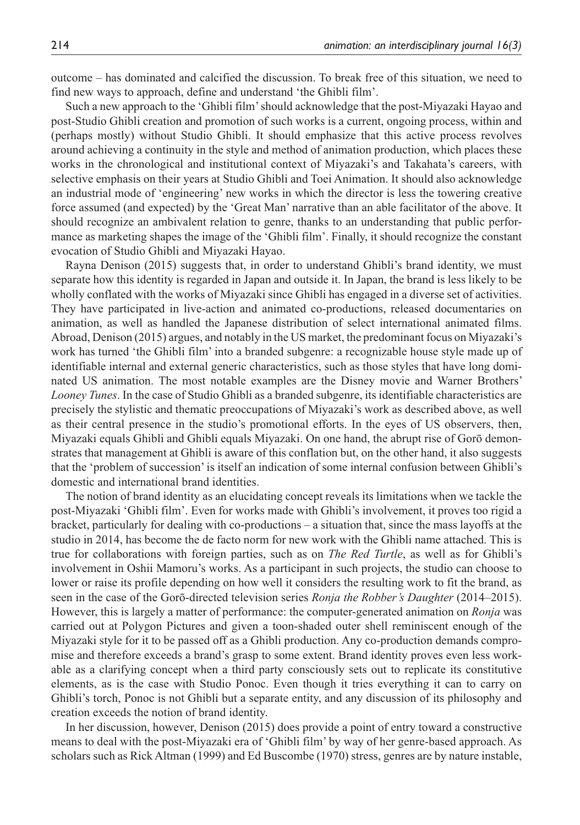outcome – has dominated and calcified the discussion. To break free of this situation, we need to find new ways to approach, define and understand 'the Ghibli film'.

Such a new approach to the 'Ghibli film' should acknowledge that the post-Miyazaki Hayao and post-Studio Ghibli creation and promotion of such works is a current, ongoing process, within and (perhaps mostly) without Studio Ghibli. It should emphasize that this active process revolves around achieving a continuity in the style and method of animation production, which places these works in the chronological and institutional context of Miyazaki's and Takahata's careers, with selective emphasis on their years at Studio Ghibli and Toei Animation. It should also acknowledge an industrial mode of 'engineering' new works in which the director is less the towering creative force assumed (and expected) by the 'Great Man' narrative than an able facilitator of the above. It should recognize an ambivalent relation to genre, thanks to an understanding that public performance as marketing shapes the image of the 'Ghibli film'. Finally, it should recognize the constant evocation of Studio Ghibli and Miyazaki Hayao.

Rayna Denison (2015) suggests that, in order to understand Ghibli's brand identity, we must separate how this identity is regarded in Japan and outside it. In Japan, the brand is less likely to be wholly conflated with the works of Miyazaki since Ghibli has engaged in a diverse set of activities. They have participated in live-action and animated co-productions, released documentaries on animation, as well as handled the Japanese distribution of select international animated films. Abroad, Denison (2015) argues, and notably in the US market, the predominant focus on Miyazaki's work has turned 'the Ghibli film' into a branded subgenre: a recognizable house style made up of identifiable internal and external generic characteristics, such as those styles that have long dominated US animation. The most notable examples are the Disney movie and Warner Brothers' *Looney Tunes*. In the case of Studio Ghibli as a branded subgenre, its identifiable characteristics are precisely the stylistic and thematic preoccupations of Miyazaki's work as described above, as well as their central presence in the studio's promotional efforts. In the eyes of US observers, then, Miyazaki equals Ghibli and Ghibli equals Miyazaki. On one hand, the abrupt rise of Gorō demonstrates that management at Ghibli is aware of this conflation but, on the other hand, it also suggests that the 'problem of succession' is itself an indication of some internal confusion between Ghibli's domestic and international brand identities.

The notion of brand identity as an elucidating concept reveals its limitations when we tackle the post-Miyazaki 'Ghibli film'. Even for works made with Ghibli's involvement, it proves too rigid a bracket, particularly for dealing with co-productions – a situation that, since the mass layoffs at the studio in 2014, has become the de facto norm for new work with the Ghibli name attached. This is true for collaborations with foreign parties, such as on *The Red Turtle*, as well as for Ghibli's involvement in Oshii Mamoru's works. As a participant in such projects, the studio can choose to lower or raise its profile depending on how well it considers the resulting work to fit the brand, as seen in the case of the Gorō-directed television series *Ronja the Robber's Daughter* (2014–2015). However, this is largely a matter of performance: the computer-generated animation on *Ronja* was carried out at Polygon Pictures and given a toon-shaded outer shell reminiscent enough of the Miyazaki style for it to be passed off as a Ghibli production. Any co-production demands compromise and therefore exceeds a brand's grasp to some extent. Brand identity proves even less workable as a clarifying concept when a third party consciously sets out to replicate its constitutive elements, as is the case with Studio Ponoc. Even though it tries everything it can to carry on Ghibli's torch, Ponoc is not Ghibli but a separate entity, and any discussion of its philosophy and creation exceeds the notion of brand identity.

In her discussion, however, Denison (2015) does provide a point of entry toward a constructive means to deal with the post-Miyazaki era of 'Ghibli film' by way of her genre-based approach. As scholars such as Rick Altman (1999) and Ed Buscombe (1970) stress, genres are by nature instable,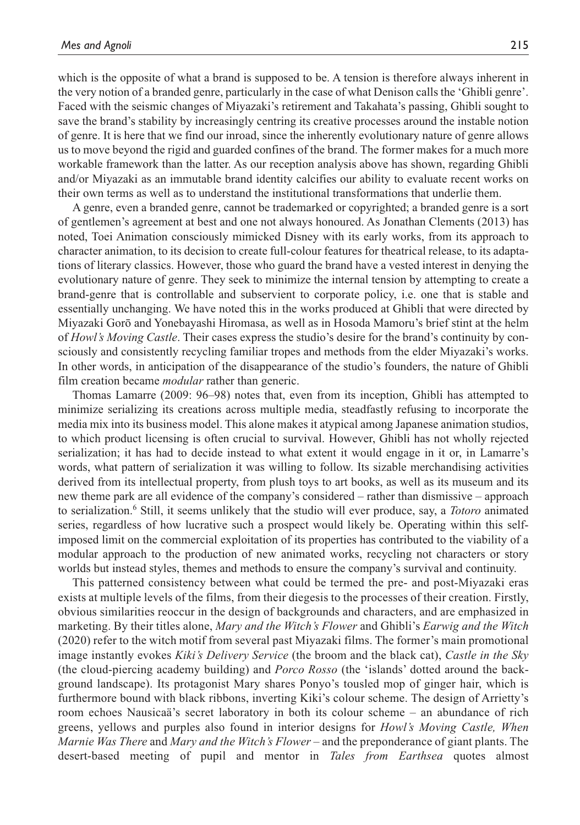which is the opposite of what a brand is supposed to be. A tension is therefore always inherent in the very notion of a branded genre, particularly in the case of what Denison calls the 'Ghibli genre'. Faced with the seismic changes of Miyazaki's retirement and Takahata's passing, Ghibli sought to save the brand's stability by increasingly centring its creative processes around the instable notion of genre. It is here that we find our inroad, since the inherently evolutionary nature of genre allows us to move beyond the rigid and guarded confines of the brand. The former makes for a much more workable framework than the latter. As our reception analysis above has shown, regarding Ghibli and/or Miyazaki as an immutable brand identity calcifies our ability to evaluate recent works on their own terms as well as to understand the institutional transformations that underlie them.

A genre, even a branded genre, cannot be trademarked or copyrighted; a branded genre is a sort of gentlemen's agreement at best and one not always honoured. As Jonathan Clements (2013) has noted, Toei Animation consciously mimicked Disney with its early works, from its approach to character animation, to its decision to create full-colour features for theatrical release, to its adaptations of literary classics. However, those who guard the brand have a vested interest in denying the evolutionary nature of genre. They seek to minimize the internal tension by attempting to create a brand-genre that is controllable and subservient to corporate policy, i.e. one that is stable and essentially unchanging. We have noted this in the works produced at Ghibli that were directed by Miyazaki Gorō and Yonebayashi Hiromasa, as well as in Hosoda Mamoru's brief stint at the helm of *Howl's Moving Castle*. Their cases express the studio's desire for the brand's continuity by consciously and consistently recycling familiar tropes and methods from the elder Miyazaki's works. In other words, in anticipation of the disappearance of the studio's founders, the nature of Ghibli film creation became *modular* rather than generic.

Thomas Lamarre (2009: 96–98) notes that, even from its inception, Ghibli has attempted to minimize serializing its creations across multiple media, steadfastly refusing to incorporate the media mix into its business model. This alone makes it atypical among Japanese animation studios, to which product licensing is often crucial to survival. However, Ghibli has not wholly rejected serialization; it has had to decide instead to what extent it would engage in it or, in Lamarre's words, what pattern of serialization it was willing to follow. Its sizable merchandising activities derived from its intellectual property, from plush toys to art books, as well as its museum and its new theme park are all evidence of the company's considered – rather than dismissive – approach to serialization.<sup>6</sup> Still, it seems unlikely that the studio will ever produce, say, a *Totoro* animated series, regardless of how lucrative such a prospect would likely be. Operating within this selfimposed limit on the commercial exploitation of its properties has contributed to the viability of a modular approach to the production of new animated works, recycling not characters or story worlds but instead styles, themes and methods to ensure the company's survival and continuity.

This patterned consistency between what could be termed the pre- and post-Miyazaki eras exists at multiple levels of the films, from their diegesis to the processes of their creation. Firstly, obvious similarities reoccur in the design of backgrounds and characters, and are emphasized in marketing. By their titles alone, *Mary and the Witch's Flower* and Ghibli's *Earwig and the Witch* (2020) refer to the witch motif from several past Miyazaki films. The former's main promotional image instantly evokes *Kiki's Delivery Service* (the broom and the black cat), *Castle in the Sky* (the cloud-piercing academy building) and *Porco Rosso* (the 'islands' dotted around the background landscape). Its protagonist Mary shares Ponyo's tousled mop of ginger hair, which is furthermore bound with black ribbons, inverting Kiki's colour scheme. The design of Arrietty's room echoes Nausicaä's secret laboratory in both its colour scheme – an abundance of rich greens, yellows and purples also found in interior designs for *Howl's Moving Castle, When Marnie Was There* and *Mary and the Witch's Flower* – and the preponderance of giant plants. The desert-based meeting of pupil and mentor in *Tales from Earthsea* quotes almost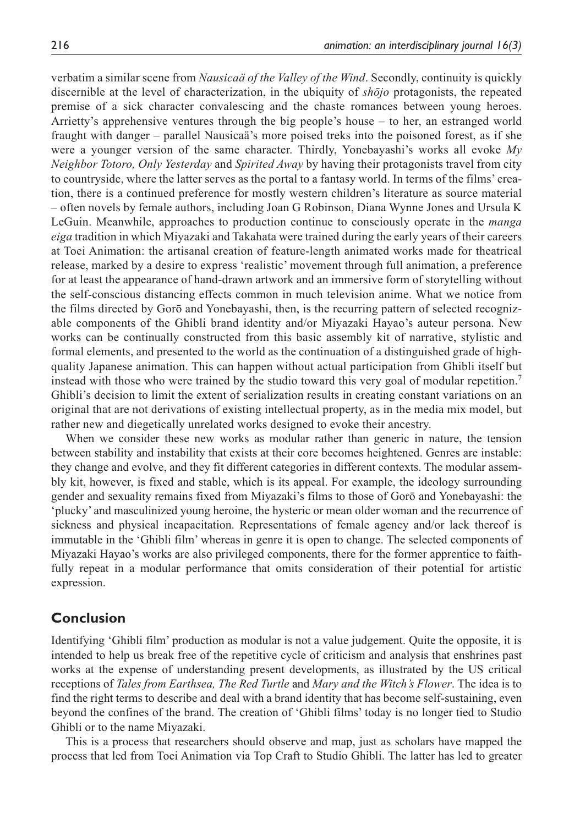verbatim a similar scene from *Nausicaä of the Valley of the Wind*. Secondly, continuity is quickly discernible at the level of characterization, in the ubiquity of *shōjo* protagonists, the repeated premise of a sick character convalescing and the chaste romances between young heroes. Arrietty's apprehensive ventures through the big people's house – to her, an estranged world fraught with danger – parallel Nausicaä's more poised treks into the poisoned forest, as if she were a younger version of the same character. Thirdly, Yonebayashi's works all evoke *My Neighbor Totoro, Only Yesterday* and *Spirited Away* by having their protagonists travel from city to countryside, where the latter serves as the portal to a fantasy world. In terms of the films' creation, there is a continued preference for mostly western children's literature as source material – often novels by female authors, including Joan G Robinson, Diana Wynne Jones and Ursula K LeGuin. Meanwhile, approaches to production continue to consciously operate in the *manga eiga* tradition in which Miyazaki and Takahata were trained during the early years of their careers at Toei Animation: the artisanal creation of feature-length animated works made for theatrical release, marked by a desire to express 'realistic' movement through full animation, a preference for at least the appearance of hand-drawn artwork and an immersive form of storytelling without the self-conscious distancing effects common in much television anime. What we notice from the films directed by Gorō and Yonebayashi, then, is the recurring pattern of selected recognizable components of the Ghibli brand identity and/or Miyazaki Hayao's auteur persona. New works can be continually constructed from this basic assembly kit of narrative, stylistic and formal elements, and presented to the world as the continuation of a distinguished grade of highquality Japanese animation. This can happen without actual participation from Ghibli itself but instead with those who were trained by the studio toward this very goal of modular repetition.<sup>7</sup> Ghibli's decision to limit the extent of serialization results in creating constant variations on an original that are not derivations of existing intellectual property, as in the media mix model, but rather new and diegetically unrelated works designed to evoke their ancestry.

When we consider these new works as modular rather than generic in nature, the tension between stability and instability that exists at their core becomes heightened. Genres are instable: they change and evolve, and they fit different categories in different contexts. The modular assembly kit, however, is fixed and stable, which is its appeal. For example, the ideology surrounding gender and sexuality remains fixed from Miyazaki's films to those of Gorō and Yonebayashi: the 'plucky' and masculinized young heroine, the hysteric or mean older woman and the recurrence of sickness and physical incapacitation. Representations of female agency and/or lack thereof is immutable in the 'Ghibli film' whereas in genre it is open to change. The selected components of Miyazaki Hayao's works are also privileged components, there for the former apprentice to faithfully repeat in a modular performance that omits consideration of their potential for artistic expression.

## **Conclusion**

Identifying 'Ghibli film' production as modular is not a value judgement. Quite the opposite, it is intended to help us break free of the repetitive cycle of criticism and analysis that enshrines past works at the expense of understanding present developments, as illustrated by the US critical receptions of *Tales from Earthsea, The Red Turtle* and *Mary and the Witch's Flower*. The idea is to find the right terms to describe and deal with a brand identity that has become self-sustaining, even beyond the confines of the brand. The creation of 'Ghibli films' today is no longer tied to Studio Ghibli or to the name Miyazaki.

This is a process that researchers should observe and map, just as scholars have mapped the process that led from Toei Animation via Top Craft to Studio Ghibli. The latter has led to greater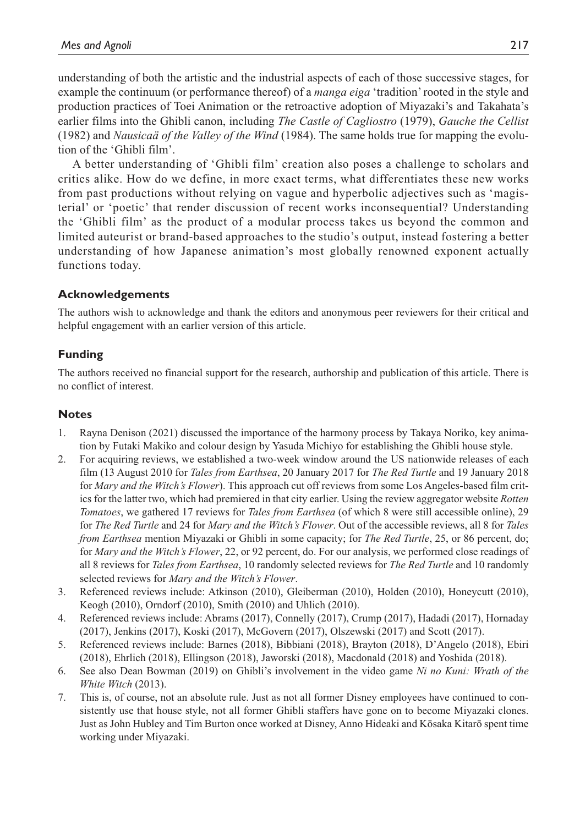understanding of both the artistic and the industrial aspects of each of those successive stages, for example the continuum (or performance thereof) of a *manga eiga* 'tradition' rooted in the style and production practices of Toei Animation or the retroactive adoption of Miyazaki's and Takahata's earlier films into the Ghibli canon, including *The Castle of Cagliostro* (1979), *Gauche the Cellist* (1982) and *Nausicaä of the Valley of the Wind* (1984). The same holds true for mapping the evolution of the 'Ghibli film'.

A better understanding of 'Ghibli film' creation also poses a challenge to scholars and critics alike. How do we define, in more exact terms, what differentiates these new works from past productions without relying on vague and hyperbolic adjectives such as 'magisterial' or 'poetic' that render discussion of recent works inconsequential? Understanding the 'Ghibli film' as the product of a modular process takes us beyond the common and limited auteurist or brand-based approaches to the studio's output, instead fostering a better understanding of how Japanese animation's most globally renowned exponent actually functions today.

### **Acknowledgements**

The authors wish to acknowledge and thank the editors and anonymous peer reviewers for their critical and helpful engagement with an earlier version of this article.

### **Funding**

The authors received no financial support for the research, authorship and publication of this article. There is no conflict of interest.

#### **Notes**

- 1. Rayna Denison (2021) discussed the importance of the harmony process by Takaya Noriko, key animation by Futaki Makiko and colour design by Yasuda Michiyo for establishing the Ghibli house style.
- 2. For acquiring reviews, we established a two-week window around the US nationwide releases of each film (13 August 2010 for *Tales from Earthsea*, 20 January 2017 for *The Red Turtle* and 19 January 2018 for *Mary and the Witch's Flower*). This approach cut off reviews from some Los Angeles-based film critics for the latter two, which had premiered in that city earlier. Using the review aggregator website *Rotten Tomatoes*, we gathered 17 reviews for *Tales from Earthsea* (of which 8 were still accessible online), 29 for *The Red Turtle* and 24 for *Mary and the Witch's Flower*. Out of the accessible reviews, all 8 for *Tales from Earthsea* mention Miyazaki or Ghibli in some capacity; for *The Red Turtle*, 25, or 86 percent, do; for *Mary and the Witch's Flower*, 22, or 92 percent, do. For our analysis, we performed close readings of all 8 reviews for *Tales from Earthsea*, 10 randomly selected reviews for *The Red Turtle* and 10 randomly selected reviews for *Mary and the Witch's Flower*.
- 3. Referenced reviews include: Atkinson (2010), Gleiberman (2010), Holden (2010), Honeycutt (2010), Keogh (2010), Orndorf (2010), Smith (2010) and Uhlich (2010).
- 4. Referenced reviews include: Abrams (2017), Connelly (2017), Crump (2017), Hadadi (2017), Hornaday (2017), Jenkins (2017), Koski (2017), McGovern (2017), Olszewski (2017) and Scott (2017).
- 5. Referenced reviews include: Barnes (2018), Bibbiani (2018), Brayton (2018), D'Angelo (2018), Ebiri (2018), Ehrlich (2018), Ellingson (2018), Jaworski (2018), Macdonald (2018) and Yoshida (2018).
- 6. See also Dean Bowman (2019) on Ghibli's involvement in the video game *Ni no Kuni: Wrath of the White Witch* (2013).
- 7. This is, of course, not an absolute rule. Just as not all former Disney employees have continued to consistently use that house style, not all former Ghibli staffers have gone on to become Miyazaki clones. Just as John Hubley and Tim Burton once worked at Disney, Anno Hideaki and Kōsaka Kitarō spent time working under Miyazaki.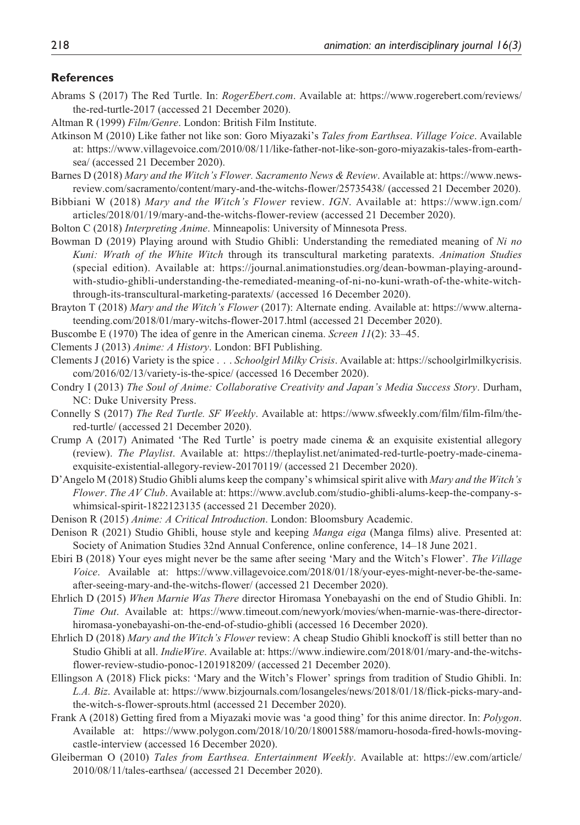#### **References**

- Abrams S (2017) The Red Turtle. In: *RogerEbert.com*. Available at: https://www.rogerebert.com/reviews/ the-red-turtle-2017 (accessed 21 December 2020).
- Altman R (1999) *Film/Genre*. London: British Film Institute.
- Atkinson M (2010) Like father not like son: Goro Miyazaki's *Tales from Earthsea*. *Village Voice*. Available at: https://www.villagevoice.com/2010/08/11/like-father-not-like-son-goro-miyazakis-tales-from-earthsea/ (accessed 21 December 2020).
- Barnes D (2018) *Mary and the Witch's Flower. Sacramento News & Review*. Available at: https://www.newsreview.com/sacramento/content/mary-and-the-witchs-flower/25735438/ (accessed 21 December 2020).
- Bibbiani W (2018) *Mary and the Witch's Flower* review. *IGN*. Available at: https://www.ign.com/ articles/2018/01/19/mary-and-the-witchs-flower-review (accessed 21 December 2020).
- Bolton C (2018) *Interpreting Anime*. Minneapolis: University of Minnesota Press.
- Bowman D (2019) Playing around with Studio Ghibli: Understanding the remediated meaning of *Ni no Kuni: Wrath of the White Witch* through its transcultural marketing paratexts. *Animation Studies* (special edition). Available at: https://journal.animationstudies.org/dean-bowman-playing-aroundwith-studio-ghibli-understanding-the-remediated-meaning-of-ni-no-kuni-wrath-of-the-white-witchthrough-its-transcultural-marketing-paratexts/ (accessed 16 December 2020).
- Brayton T (2018) *Mary and the Witch's Flower* (2017): Alternate ending. Available at: https://www.alternateending.com/2018/01/mary-witchs-flower-2017.html (accessed 21 December 2020).
- Buscombe E (1970) The idea of genre in the American cinema. *Screen 11*(2): 33–45.
- Clements J (2013) *Anime: A History*. London: BFI Publishing.
- Clements J (2016) Variety is the spice . . . *Schoolgirl Milky Crisis*. Available at: https://schoolgirlmilkycrisis. com/2016/02/13/variety-is-the-spice/ (accessed 16 December 2020).
- Condry I (2013) *The Soul of Anime: Collaborative Creativity and Japan's Media Success Story*. Durham, NC: Duke University Press.
- Connelly S (2017) *The Red Turtle. SF Weekly*. Available at: https://www.sfweekly.com/film/film-film/thered-turtle/ (accessed 21 December 2020).
- Crump A (2017) Animated 'The Red Turtle' is poetry made cinema & an exquisite existential allegory (review). *The Playlist*. Available at: https://theplaylist.net/animated-red-turtle-poetry-made-cinemaexquisite-existential-allegory-review-20170119/ (accessed 21 December 2020).
- D'Angelo M (2018) Studio Ghibli alums keep the company's whimsical spirit alive with *Mary and the Witch's Flower*. *The AV Club*. Available at: https://www.avclub.com/studio-ghibli-alums-keep-the-company-swhimsical-spirit-1822123135 (accessed 21 December 2020).
- Denison R (2015) *Anime: A Critical Introduction*. London: Bloomsbury Academic.
- Denison R (2021) Studio Ghibli, house style and keeping *Manga eiga* (Manga films) alive. Presented at: Society of Animation Studies 32nd Annual Conference, online conference, 14–18 June 2021.
- Ebiri B (2018) Your eyes might never be the same after seeing 'Mary and the Witch's Flower'. *The Village Voice*. Available at: https://www.villagevoice.com/2018/01/18/your-eyes-might-never-be-the-sameafter-seeing-mary-and-the-witchs-flower/ (accessed 21 December 2020).
- Ehrlich D (2015) *When Marnie Was There* director Hiromasa Yonebayashi on the end of Studio Ghibli. In: *Time Out*. Available at: https://www.timeout.com/newyork/movies/when-marnie-was-there-directorhiromasa-yonebayashi-on-the-end-of-studio-ghibli (accessed 16 December 2020).
- Ehrlich D (2018) *Mary and the Witch's Flower* review: A cheap Studio Ghibli knockoff is still better than no Studio Ghibli at all. *IndieWire*. Available at: https://www.indiewire.com/2018/01/mary-and-the-witchsflower-review-studio-ponoc-1201918209/ (accessed 21 December 2020).
- Ellingson A (2018) Flick picks: 'Mary and the Witch's Flower' springs from tradition of Studio Ghibli. In: *L.A. Biz*. Available at: https://www.bizjournals.com/losangeles/news/2018/01/18/flick-picks-mary-andthe-witch-s-flower-sprouts.html (accessed 21 December 2020).
- Frank A (2018) Getting fired from a Miyazaki movie was 'a good thing' for this anime director. In: *Polygon*. Available at: https://www.polygon.com/2018/10/20/18001588/mamoru-hosoda-fired-howls-movingcastle-interview (accessed 16 December 2020).
- Gleiberman O (2010) *Tales from Earthsea. Entertainment Weekly*. Available at: https://ew.com/article/ 2010/08/11/tales-earthsea/ (accessed 21 December 2020).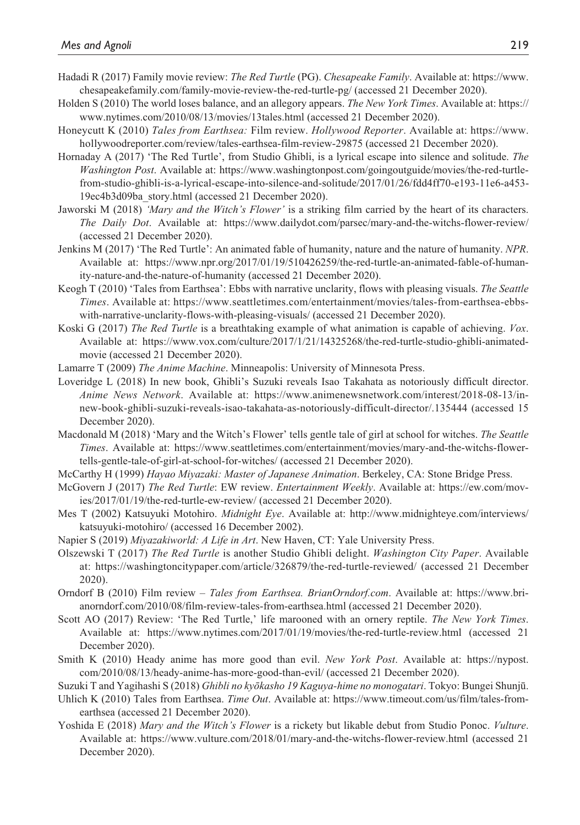- Hadadi R (2017) Family movie review: *The Red Turtle* (PG). *Chesapeake Family*. Available at: https://www. chesapeakefamily.com/family-movie-review-the-red-turtle-pg/ (accessed 21 December 2020).
- Holden S (2010) The world loses balance, and an allegory appears. *The New York Times*. Available at: https:// www.nytimes.com/2010/08/13/movies/13tales.html (accessed 21 December 2020).
- Honeycutt K (2010) *Tales from Earthsea:* Film review. *Hollywood Reporter*. Available at: https://www. hollywoodreporter.com/review/tales-earthsea-film-review-29875 (accessed 21 December 2020).
- Hornaday A (2017) 'The Red Turtle', from Studio Ghibli, is a lyrical escape into silence and solitude. *The Washington Post*. Available at: https://www.washingtonpost.com/goingoutguide/movies/the-red-turtlefrom-studio-ghibli-is-a-lyrical-escape-into-silence-and-solitude/2017/01/26/fdd4ff70-e193-11e6-a453- 19ec4b3d09ba\_story.html (accessed 21 December 2020).
- Jaworski M (2018) *'Mary and the Witch's Flower'* is a striking film carried by the heart of its characters. *The Daily Dot*. Available at: https://www.dailydot.com/parsec/mary-and-the-witchs-flower-review/ (accessed 21 December 2020).
- Jenkins M (2017) 'The Red Turtle': An animated fable of humanity, nature and the nature of humanity. *NPR*. Available at: https://www.npr.org/2017/01/19/510426259/the-red-turtle-an-animated-fable-of-humanity-nature-and-the-nature-of-humanity (accessed 21 December 2020).
- Keogh T (2010) 'Tales from Earthsea': Ebbs with narrative unclarity, flows with pleasing visuals. *The Seattle Times*. Available at: https://www.seattletimes.com/entertainment/movies/tales-from-earthsea-ebbswith-narrative-unclarity-flows-with-pleasing-visuals/ (accessed 21 December 2020).
- Koski G (2017) *The Red Turtle* is a breathtaking example of what animation is capable of achieving. *Vox*. Available at: https://www.vox.com/culture/2017/1/21/14325268/the-red-turtle-studio-ghibli-animatedmovie (accessed 21 December 2020).
- Lamarre T (2009) *The Anime Machine*. Minneapolis: University of Minnesota Press.
- Loveridge L (2018) In new book, Ghibli's Suzuki reveals Isao Takahata as notoriously difficult director. *Anime News Network*. Available at: https://www.animenewsnetwork.com/interest/2018-08-13/innew-book-ghibli-suzuki-reveals-isao-takahata-as-notoriously-difficult-director/.135444 (accessed 15 December 2020).
- Macdonald M (2018) 'Mary and the Witch's Flower' tells gentle tale of girl at school for witches. *The Seattle Times*. Available at: https://www.seattletimes.com/entertainment/movies/mary-and-the-witchs-flowertells-gentle-tale-of-girl-at-school-for-witches/ (accessed 21 December 2020).
- McCarthy H (1999) *Hayao Miyazaki: Master of Japanese Animation*. Berkeley, CA: Stone Bridge Press.
- McGovern J (2017) *The Red Turtle*: EW review. *Entertainment Weekly*. Available at: https://ew.com/movies/2017/01/19/the-red-turtle-ew-review/ (accessed 21 December 2020).
- Mes T (2002) Katsuyuki Motohiro. *Midnight Eye*. Available at: http://www.midnighteye.com/interviews/ katsuyuki-motohiro/ (accessed 16 December 2002).
- Napier S (2019) *Miyazakiworld: A Life in Art*. New Haven, CT: Yale University Press.
- Olszewski T (2017) *The Red Turtle* is another Studio Ghibli delight. *Washington City Paper*. Available at: https://washingtoncitypaper.com/article/326879/the-red-turtle-reviewed/ (accessed 21 December 2020).
- Orndorf B (2010) Film review *Tales from Earthsea. BrianOrndorf.com*. Available at: https://www.brianorndorf.com/2010/08/film-review-tales-from-earthsea.html (accessed 21 December 2020).
- Scott AO (2017) Review: 'The Red Turtle,' life marooned with an ornery reptile. *The New York Times*. Available at: https://www.nytimes.com/2017/01/19/movies/the-red-turtle-review.html (accessed 21 December 2020).
- Smith K (2010) Heady anime has more good than evil. *New York Post*. Available at: https://nypost. com/2010/08/13/heady-anime-has-more-good-than-evil/ (accessed 21 December 2020).
- Suzuki T and Yagihashi S (2018) *Ghibli no kyōkasho 19 Kaguya-hime no monogatari*. Tokyo: Bungei Shunjū.
- Uhlich K (2010) Tales from Earthsea. *Time Out*. Available at: https://www.timeout.com/us/film/tales-fromearthsea (accessed 21 December 2020).
- Yoshida E (2018) *Mary and the Witch's Flower* is a rickety but likable debut from Studio Ponoc. *Vulture*. Available at: https://www.vulture.com/2018/01/mary-and-the-witchs-flower-review.html (accessed 21 December 2020).